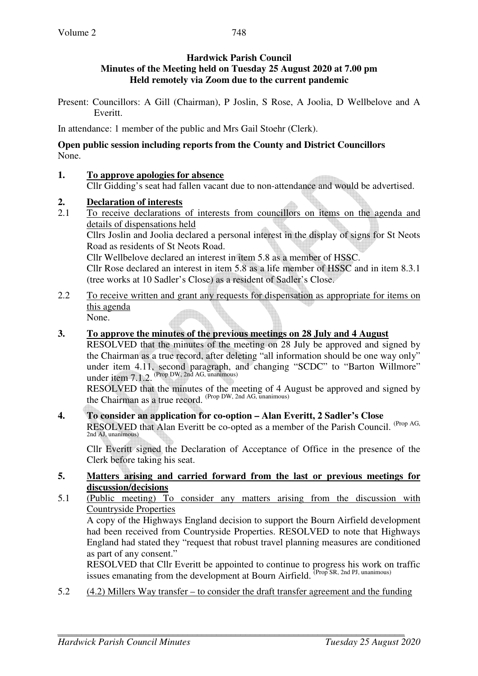Present: Councillors: A Gill (Chairman), P Joslin, S Rose, A Joolia, D Wellbelove and A Everitt.

In attendance: 1 member of the public and Mrs Gail Stoehr (Clerk).

#### **Open public session including reports from the County and District Councillors**  None.

**1. To approve apologies for absence**

Cllr Gidding's seat had fallen vacant due to non-attendance and would be advertised.

# **2. Declaration of interests**

2.1 To receive declarations of interests from councillors on items on the agenda and details of dispensations held

Cllrs Joslin and Joolia declared a personal interest in the display of signs for St Neots Road as residents of St Neots Road.

Cllr Wellbelove declared an interest in item 5.8 as a member of HSSC.

Cllr Rose declared an interest in item 5.8 as a life member of HSSC and in item 8.3.1 (tree works at 10 Sadler's Close) as a resident of Sadler's Close.

2.2 To receive written and grant any requests for dispensation as appropriate for items on this agenda

None.

# **3. To approve the minutes of the previous meetings on 28 July and 4 August**

 RESOLVED that the minutes of the meeting on 28 July be approved and signed by the Chairman as a true record, after deleting "all information should be one way only" under item 4.11, second paragraph, and changing "SCDC" to "Barton Willmore" under item 7.1.2. (Prop DW, 2nd AG, unanimous)

 RESOLVED that the minutes of the meeting of 4 August be approved and signed by the Chairman as a true record. (Prop DW, 2nd AG, unanimous)

#### **4. To consider an application for co-option – Alan Everitt, 2 Sadler's Close**

RESOLVED that Alan Everitt be co-opted as a member of the Parish Council. (Prop AG, 2nd AJ, unanimous)

Cllr Everitt signed the Declaration of Acceptance of Office in the presence of the Clerk before taking his seat.

# **5. Matters arising and carried forward from the last or previous meetings for discussion/decisions**

5.1 (Public meeting) To consider any matters arising from the discussion with Countryside Properties

A copy of the Highways England decision to support the Bourn Airfield development had been received from Countryside Properties. RESOLVED to note that Highways England had stated they "request that robust travel planning measures are conditioned as part of any consent."

RESOLVED that Cllr Everitt be appointed to continue to progress his work on traffic issues emanating from the development at Bourn Airfield. (Prop SR, 2nd PJ, unanimous)

5.2 (4.2) Millers Way transfer – to consider the draft transfer agreement and the funding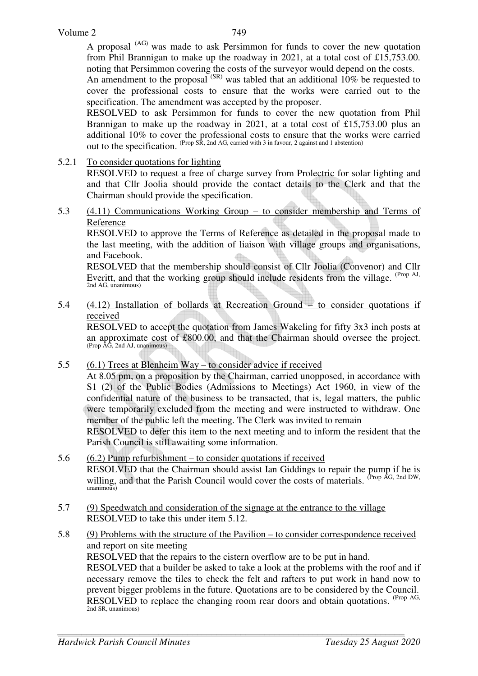A proposal (AG) was made to ask Persimmon for funds to cover the new quotation from Phil Brannigan to make up the roadway in 2021, at a total cost of £15,753.00. noting that Persimmon covering the costs of the surveyor would depend on the costs.

An amendment to the proposal <sup>(SR)</sup> was tabled that an additional 10% be requested to cover the professional costs to ensure that the works were carried out to the specification. The amendment was accepted by the proposer.

RESOLVED to ask Persimmon for funds to cover the new quotation from Phil Brannigan to make up the roadway in 2021, at a total cost of £15,753.00 plus an additional 10% to cover the professional costs to ensure that the works were carried out to the specification. (Prop SR, 2nd AG, carried with 3 in favour, 2 against and 1 abstention)

5.2.1 To consider quotations for lighting

RESOLVED to request a free of charge survey from Prolectric for solar lighting and and that Cllr Joolia should provide the contact details to the Clerk and that the Chairman should provide the specification.

5.3 (4.11) Communications Working Group – to consider membership and Terms of Reference

RESOLVED to approve the Terms of Reference as detailed in the proposal made to the last meeting, with the addition of liaison with village groups and organisations, and Facebook.

RESOLVED that the membership should consist of Cllr Joolia (Convenor) and Cllr Everitt, and that the working group should include residents from the village. <sup>(Prop AJ,</sup> 2nd AG, unanimous)

5.4 (4.12) Installation of bollards at Recreation Ground – to consider quotations if received

RESOLVED to accept the quotation from James Wakeling for fifty 3x3 inch posts at an approximate cost of £800.00, and that the Chairman should oversee the project. (Prop AG, 2nd AJ, unanimous)

5.5 (6.1) Trees at Blenheim Way – to consider advice if received

At 8.05 pm, on a proposition by the Chairman, carried unopposed, in accordance with S1 (2) of the Public Bodies (Admissions to Meetings) Act 1960, in view of the confidential nature of the business to be transacted, that is, legal matters, the public were temporarily excluded from the meeting and were instructed to withdraw. One member of the public left the meeting. The Clerk was invited to remain

RESOLVED to defer this item to the next meeting and to inform the resident that the Parish Council is still awaiting some information.

- 5.6 (6.2) Pump refurbishment to consider quotations if received RESOLVED that the Chairman should assist Ian Giddings to repair the pump if he is willing, and that the Parish Council would cover the costs of materials. (Prop AG, 2nd DW, unanimous)
- 5.7 (9) Speedwatch and consideration of the signage at the entrance to the village RESOLVED to take this under item 5.12.
- 5.8 (9) Problems with the structure of the Pavilion to consider correspondence received and report on site meeting RESOLVED that the repairs to the cistern overflow are to be put in hand. RESOLVED that a builder be asked to take a look at the problems with the roof and if necessary remove the tiles to check the felt and rafters to put work in hand now to prevent bigger problems in the future. Quotations are to be considered by the Council. RESOLVED to replace the changing room rear doors and obtain quotations. (Prop AG, 2nd SR, unanimous)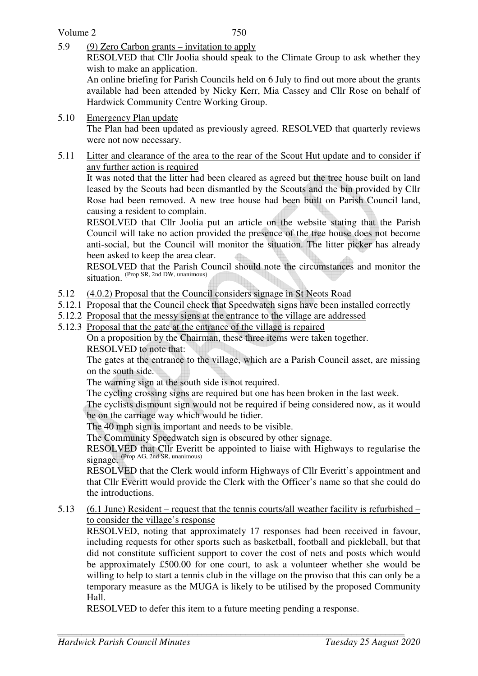5.9 (9) Zero Carbon grants – invitation to apply

RESOLVED that Cllr Joolia should speak to the Climate Group to ask whether they wish to make an application.

An online briefing for Parish Councils held on 6 July to find out more about the grants available had been attended by Nicky Kerr, Mia Cassey and Cllr Rose on behalf of Hardwick Community Centre Working Group.

5.10 Emergency Plan update

The Plan had been updated as previously agreed. RESOLVED that quarterly reviews were not now necessary.

5.11 Litter and clearance of the area to the rear of the Scout Hut update and to consider if any further action is required

 It was noted that the litter had been cleared as agreed but the tree house built on land leased by the Scouts had been dismantled by the Scouts and the bin provided by Cllr Rose had been removed. A new tree house had been built on Parish Council land, causing a resident to complain.

 RESOLVED that Cllr Joolia put an article on the website stating that the Parish Council will take no action provided the presence of the tree house does not become anti-social, but the Council will monitor the situation. The litter picker has already been asked to keep the area clear.

RESOLVED that the Parish Council should note the circumstances and monitor the  $situation.$ <sup>(Prop SR, 2nd DW, unanimous)</sup>

- 5.12 (4.0.2) Proposal that the Council considers signage in St Neots Road
- 5.12.1 Proposal that the Council check that Speedwatch signs have been installed correctly
- 5.12.2 Proposal that the messy signs at the entrance to the village are addressed
- 5.12.3 Proposal that the gate at the entrance of the village is repaired

 On a proposition by the Chairman, these three items were taken together. RESOLVED to note that:

The gates at the entrance to the village, which are a Parish Council asset, are missing on the south side.

The warning sign at the south side is not required.

The cycling crossing signs are required but one has been broken in the last week.

The cyclists dismount sign would not be required if being considered now, as it would be on the carriage way which would be tidier.

The 40 mph sign is important and needs to be visible.

The Community Speedwatch sign is obscured by other signage.

RESOLVED that Cllr Everitt be appointed to liaise with Highways to regularise the signage. (Prop AG, 2nd SR, unanimous)

RESOLVED that the Clerk would inform Highways of Cllr Everitt's appointment and that Cllr Everitt would provide the Clerk with the Officer's name so that she could do the introductions.

5.13 (6.1 June) Resident – request that the tennis courts/all weather facility is refurbished – to consider the village's response

RESOLVED, noting that approximately 17 responses had been received in favour, including requests for other sports such as basketball, football and pickleball, but that did not constitute sufficient support to cover the cost of nets and posts which would be approximately £500.00 for one court, to ask a volunteer whether she would be willing to help to start a tennis club in the village on the proviso that this can only be a temporary measure as the MUGA is likely to be utilised by the proposed Community Hall.

RESOLVED to defer this item to a future meeting pending a response.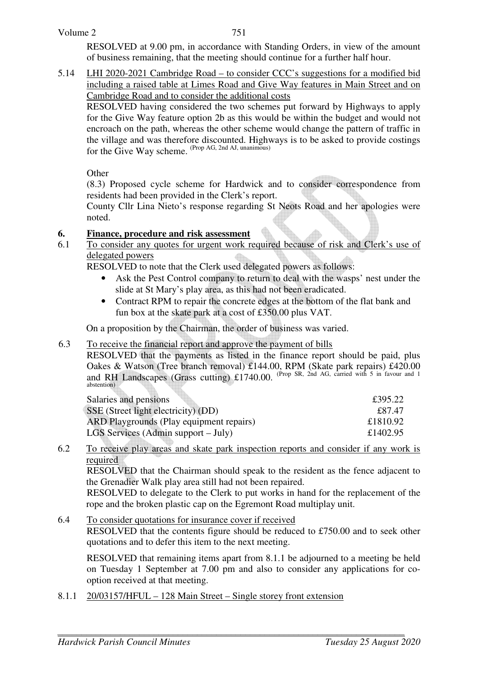#### Volume 2

751

RESOLVED at 9.00 pm, in accordance with Standing Orders, in view of the amount of business remaining, that the meeting should continue for a further half hour.

5.14 LHI 2020-2021 Cambridge Road – to consider CCC's suggestions for a modified bid including a raised table at Limes Road and Give Way features in Main Street and on Cambridge Road and to consider the additional costs

RESOLVED having considered the two schemes put forward by Highways to apply for the Give Way feature option 2b as this would be within the budget and would not encroach on the path, whereas the other scheme would change the pattern of traffic in the village and was therefore discounted. Highways is to be asked to provide costings for the Give Way scheme. <sup>(Prop AG, 2nd AJ, unanimous)</sup>

**Other** 

(8.3) Proposed cycle scheme for Hardwick and to consider correspondence from residents had been provided in the Clerk's report.

County Cllr Lina Nieto's response regarding St Neots Road and her apologies were noted.

# **6. Finance, procedure and risk assessment**

6.1 To consider any quotes for urgent work required because of risk and Clerk's use of delegated powers

RESOLVED to note that the Clerk used delegated powers as follows:

- Ask the Pest Control company to return to deal with the wasps' nest under the slide at St Mary's play area, as this had not been eradicated.
- Contract RPM to repair the concrete edges at the bottom of the flat bank and fun box at the skate park at a cost of £350.00 plus VAT.

On a proposition by the Chairman, the order of business was varied.

# 6.3 To receive the financial report and approve the payment of bills

RESOLVED that the payments as listed in the finance report should be paid, plus Oakes & Watson (Tree branch removal) £144.00, RPM (Skate park repairs) £420.00 and RH Landscapes (Grass cutting) £1740.00. (Prop SR, 2nd AG, carried with 5 in favour and 1 abstention)

| Salaries and pensions                    | £395.22  |
|------------------------------------------|----------|
| SSE (Street light electricity) (DD)      | £87.47   |
| ARD Playgrounds (Play equipment repairs) | £1810.92 |
| LGS Services (Admin support $-July$ )    | £1402.95 |

6.2 To receive play areas and skate park inspection reports and consider if any work is required

RESOLVED that the Chairman should speak to the resident as the fence adjacent to the Grenadier Walk play area still had not been repaired.

RESOLVED to delegate to the Clerk to put works in hand for the replacement of the rope and the broken plastic cap on the Egremont Road multiplay unit.

6.4 To consider quotations for insurance cover if received RESOLVED that the contents figure should be reduced to £750.00 and to seek other quotations and to defer this item to the next meeting.

 RESOLVED that remaining items apart from 8.1.1 be adjourned to a meeting be held on Tuesday 1 September at 7.00 pm and also to consider any applications for cooption received at that meeting.

8.1.1 20/03157/HFUL – 128 Main Street – Single storey front extension